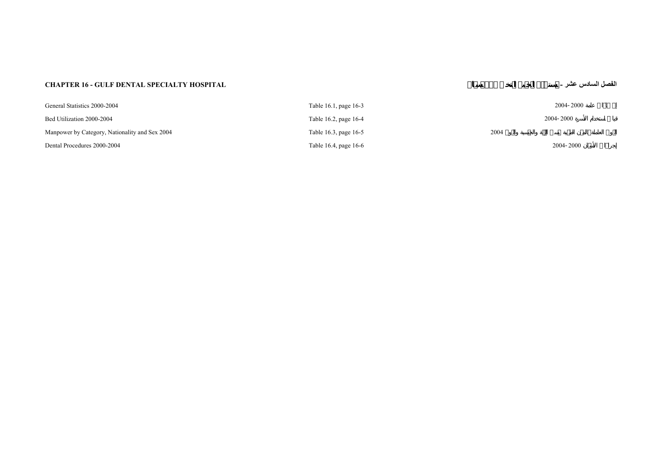## **CHAPTER 16 - GULF DENTAL SPECIALTY HOSPITAL -**

## **عشر السادس الفصل**

| General Statistics 2000-2004                   | Table 16.1, page 16-3 |      | 2004-2000 |
|------------------------------------------------|-----------------------|------|-----------|
| Bed Utilization 2000-2004                      | Table 16.2, page 16-4 |      | 2004-2000 |
| Manpower by Category, Nationality and Sex 2004 | Table 16.3, page 16-5 | 2004 |           |
| Dental Procedures 2000-2004                    | Table 16.4, page 16-6 |      | 2004-2000 |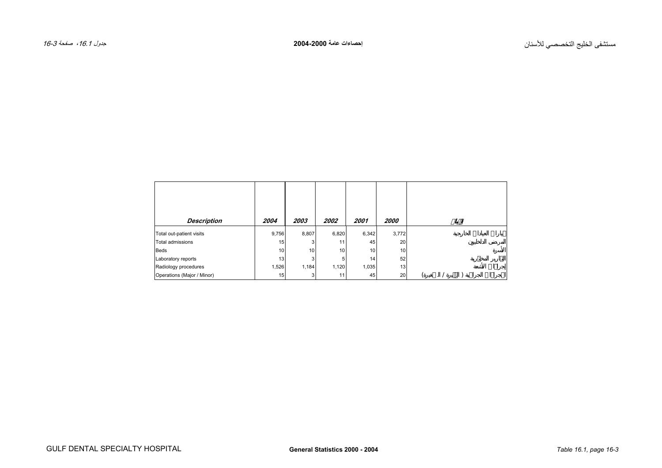<span id="page-2-0"></span>

| Description                | 2004  | 2003  | 2002  | 2001  | <i><b>2000</b></i> |  |  |  |
|----------------------------|-------|-------|-------|-------|--------------------|--|--|--|
| Total out-patient visits   | 9,756 | 8,807 | 6,820 | 6,342 | 3,772              |  |  |  |
| Total admissions           | 15    |       | 11    | 45    | 20                 |  |  |  |
| Beds                       | 10    | 10    | 10    | 10    | 10                 |  |  |  |
| Laboratory reports         | 13    |       | 5     | 14    | 52                 |  |  |  |
| Radiology procedures       | 1,526 | 1,184 | 1,120 | 1,035 | 13                 |  |  |  |
| Operations (Major / Minor) | 15    | 3     | 11    | 45    | 20                 |  |  |  |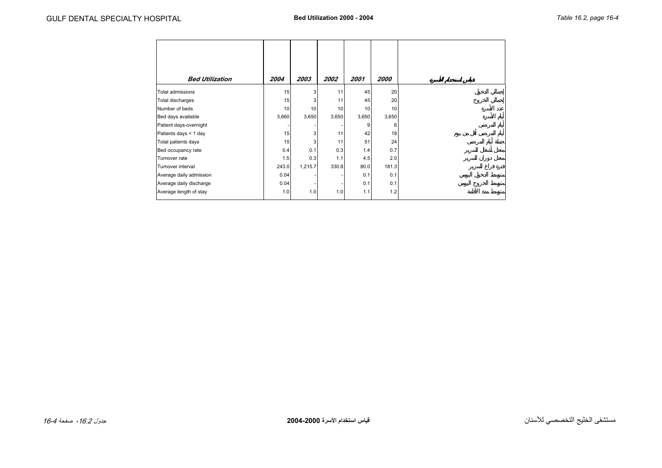<span id="page-3-0"></span>

| <b>Bed Utilization</b>  | 2004  | 2003    | 2002  | 2001  | 2000  |
|-------------------------|-------|---------|-------|-------|-------|
| Total admissions        | 15    | 3       | 11    | 45    | 20    |
| Total discharges        | 15    | 3       | 11    | 45    | 20    |
| Number of beds          | 10    | 10      | 10    | 10    | 10    |
| Bed days available      | 3,660 | 3,650   | 3,650 | 3,650 | 3,650 |
| Patient days-overnight  |       |         |       | 9     | 6     |
| Patients days < 1 day   | 15    | 3       | 11    | 42    | 18    |
| Total patients days     | 15    | 3       | 11    | 51    | 24    |
| Bed occupancy rate      | 0.4   | 0.1     | 0.3   | 1.4   | 0.7   |
| Turnover rate           | 1.5   | 0.3     | 1.1   | 4.5   | 2.0   |
| Turnover interval       | 243.0 | 1,215.7 | 330.8 | 80.0  | 181.3 |
| Average daily admission | 0.04  |         |       | 0.1   | 0.1   |
| Average daily discharge | 0.04  |         |       | 0.1   | 0.1   |
| Average length of stay  | 1.0   | 1.0     | 1.0   | 1.1   | 1.2   |
|                         |       |         |       |       |       |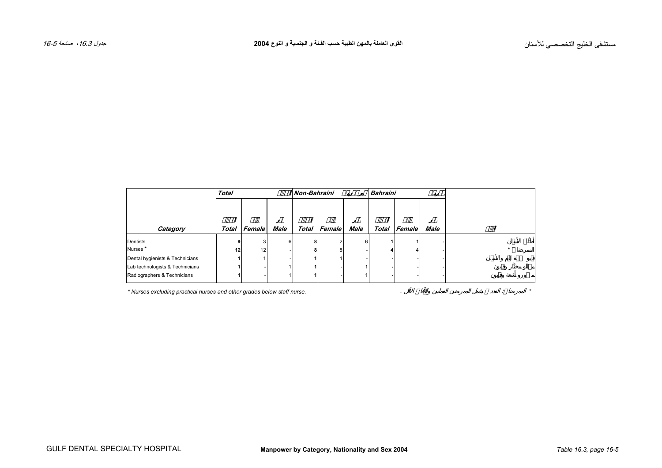<span id="page-4-0"></span>

|                                 | <b>Total</b> |        |             | Non-Bahraini |        |             | <b>Bahraini</b> |        |             |  |
|---------------------------------|--------------|--------|-------------|--------------|--------|-------------|-----------------|--------|-------------|--|
|                                 |              |        |             |              |        |             |                 |        |             |  |
| Category                        | Total        | Female | <b>Male</b> | Total        | Female | <b>Male</b> | Total           | Female | <b>Male</b> |  |
| Dentists                        |              |        | 6           | 8            |        | 6           |                 |        |             |  |
| Nurses <sup>*</sup>             | 12           | 12     |             | 8            | R      |             |                 |        |             |  |
| Dental hygienists & Technicians |              |        |             |              |        |             |                 |        |             |  |
| Lab technologists & Technicians |              |        |             |              |        |             |                 |        |             |  |
| Radiographers & Technicians     |              |        |             |              |        |             |                 |        |             |  |

*\* Nurses excluding practical nurses and other grades below staff nurse.* . : *\**

GULF DENTAL SPECIALTY HOSPITAL **Manpower by Category, Nationality and Sex 2004** *Table 16.3, page 16-5*